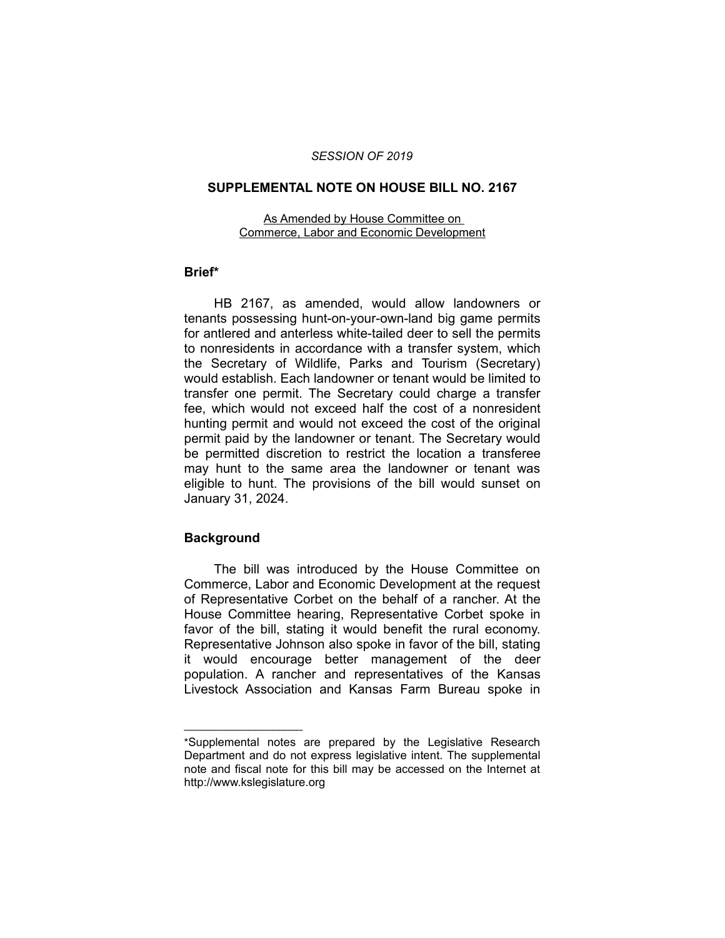## *SESSION OF 2019*

## **SUPPLEMENTAL NOTE ON HOUSE BILL NO. 2167**

As Amended by House Committee on Commerce, Labor and Economic Development

## **Brief\***

HB 2167, as amended, would allow landowners or tenants possessing hunt-on-your-own-land big game permits for antlered and anterless white-tailed deer to sell the permits to nonresidents in accordance with a transfer system, which the Secretary of Wildlife, Parks and Tourism (Secretary) would establish. Each landowner or tenant would be limited to transfer one permit. The Secretary could charge a transfer fee, which would not exceed half the cost of a nonresident hunting permit and would not exceed the cost of the original permit paid by the landowner or tenant. The Secretary would be permitted discretion to restrict the location a transferee may hunt to the same area the landowner or tenant was eligible to hunt. The provisions of the bill would sunset on January 31, 2024.

## **Background**

 $\overline{\phantom{a}}$  , where  $\overline{\phantom{a}}$ 

The bill was introduced by the House Committee on Commerce, Labor and Economic Development at the request of Representative Corbet on the behalf of a rancher. At the House Committee hearing, Representative Corbet spoke in favor of the bill, stating it would benefit the rural economy. Representative Johnson also spoke in favor of the bill, stating it would encourage better management of the deer population. A rancher and representatives of the Kansas Livestock Association and Kansas Farm Bureau spoke in

<sup>\*</sup>Supplemental notes are prepared by the Legislative Research Department and do not express legislative intent. The supplemental note and fiscal note for this bill may be accessed on the Internet at http://www.kslegislature.org